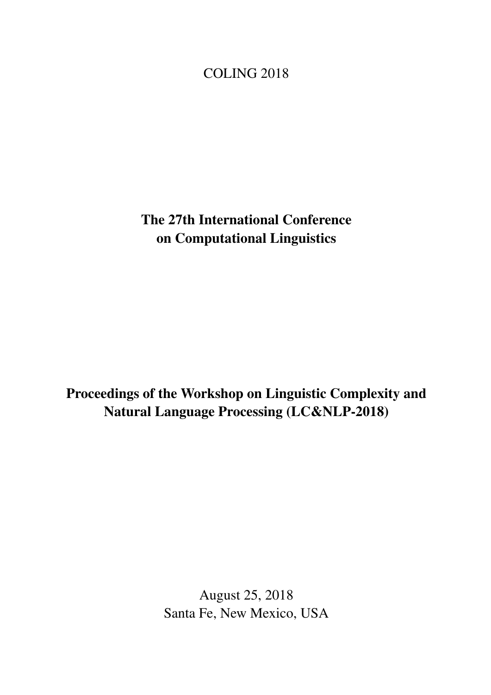<span id="page-0-0"></span>COLING 2018

The 27th International Conference on Computational Linguistics

Proceedings of the Workshop on Linguistic Complexity and Natural Language Processing (LC&NLP-2018)

> August 25, 2018 Santa Fe, New Mexico, USA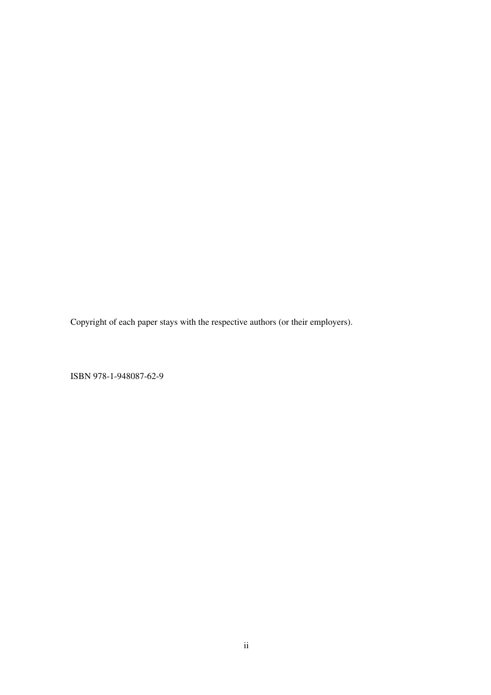Copyright of each paper stays with the respective authors (or their employers).

ISBN 978-1-948087-62-9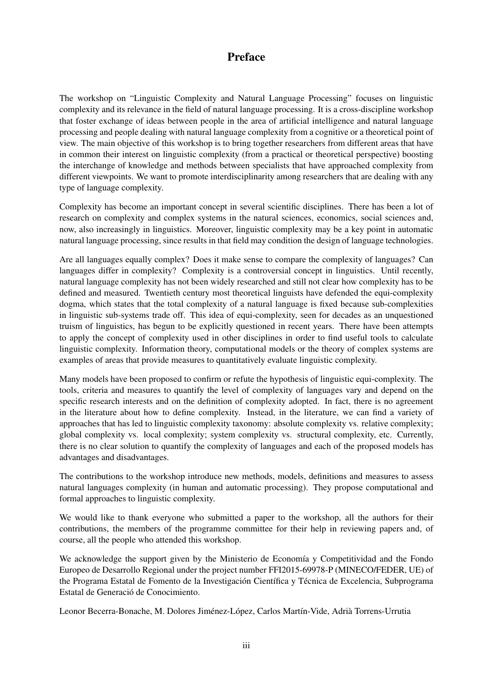## Preface

The workshop on "Linguistic Complexity and Natural Language Processing" focuses on linguistic complexity and its relevance in the field of natural language processing. It is a cross-discipline workshop that foster exchange of ideas between people in the area of artificial intelligence and natural language processing and people dealing with natural language complexity from a cognitive or a theoretical point of view. The main objective of this workshop is to bring together researchers from different areas that have in common their interest on linguistic complexity (from a practical or theoretical perspective) boosting the interchange of knowledge and methods between specialists that have approached complexity from different viewpoints. We want to promote interdisciplinarity among researchers that are dealing with any type of language complexity.

Complexity has become an important concept in several scientific disciplines. There has been a lot of research on complexity and complex systems in the natural sciences, economics, social sciences and, now, also increasingly in linguistics. Moreover, linguistic complexity may be a key point in automatic natural language processing, since results in that field may condition the design of language technologies.

Are all languages equally complex? Does it make sense to compare the complexity of languages? Can languages differ in complexity? Complexity is a controversial concept in linguistics. Until recently, natural language complexity has not been widely researched and still not clear how complexity has to be defined and measured. Twentieth century most theoretical linguists have defended the equi-complexity dogma, which states that the total complexity of a natural language is fixed because sub-complexities in linguistic sub-systems trade off. This idea of equi-complexity, seen for decades as an unquestioned truism of linguistics, has begun to be explicitly questioned in recent years. There have been attempts to apply the concept of complexity used in other disciplines in order to find useful tools to calculate linguistic complexity. Information theory, computational models or the theory of complex systems are examples of areas that provide measures to quantitatively evaluate linguistic complexity.

Many models have been proposed to confirm or refute the hypothesis of linguistic equi-complexity. The tools, criteria and measures to quantify the level of complexity of languages vary and depend on the specific research interests and on the definition of complexity adopted. In fact, there is no agreement in the literature about how to define complexity. Instead, in the literature, we can find a variety of approaches that has led to linguistic complexity taxonomy: absolute complexity vs. relative complexity; global complexity vs. local complexity; system complexity vs. structural complexity, etc. Currently, there is no clear solution to quantify the complexity of languages and each of the proposed models has advantages and disadvantages.

The contributions to the workshop introduce new methods, models, definitions and measures to assess natural languages complexity (in human and automatic processing). They propose computational and formal approaches to linguistic complexity.

We would like to thank everyone who submitted a paper to the workshop, all the authors for their contributions, the members of the programme committee for their help in reviewing papers and, of course, all the people who attended this workshop.

We acknowledge the support given by the Ministerio de Economía y Competitividad and the Fondo Europeo de Desarrollo Regional under the project number FFI2015-69978-P (MINECO/FEDER, UE) of the Programa Estatal de Fomento de la Investigación Científica y Técnica de Excelencia, Subprograma Estatal de Generació de Conocimiento.

Leonor Becerra-Bonache, M. Dolores Jiménez-López, Carlos Martín-Vide, Adrià Torrens-Urrutia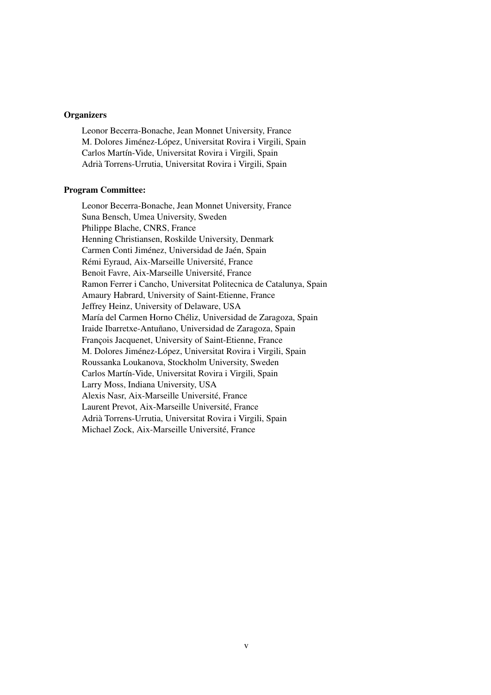## **Organizers**

Leonor Becerra-Bonache, Jean Monnet University, France M. Dolores Jiménez-López, Universitat Rovira i Virgili, Spain Carlos Martín-Vide, Universitat Rovira i Virgili, Spain Adrià Torrens-Urrutia, Universitat Rovira i Virgili, Spain

### Program Committee:

Leonor Becerra-Bonache, Jean Monnet University, France Suna Bensch, Umea University, Sweden Philippe Blache, CNRS, France Henning Christiansen, Roskilde University, Denmark Carmen Conti Jiménez, Universidad de Jaén, Spain Rémi Eyraud, Aix-Marseille Université, France Benoit Favre, Aix-Marseille Université, France Ramon Ferrer i Cancho, Universitat Politecnica de Catalunya, Spain Amaury Habrard, University of Saint-Etienne, France Jeffrey Heinz, University of Delaware, USA María del Carmen Horno Chéliz, Universidad de Zaragoza, Spain Iraide Ibarretxe-Antuñano, Universidad de Zaragoza, Spain François Jacquenet, University of Saint-Etienne, France M. Dolores Jiménez-López, Universitat Rovira i Virgili, Spain Roussanka Loukanova, Stockholm University, Sweden Carlos Martín-Vide, Universitat Rovira i Virgili, Spain Larry Moss, Indiana University, USA Alexis Nasr, Aix-Marseille Université, France Laurent Prevot, Aix-Marseille Université, France Adrià Torrens-Urrutia, Universitat Rovira i Virgili, Spain Michael Zock, Aix-Marseille Université, France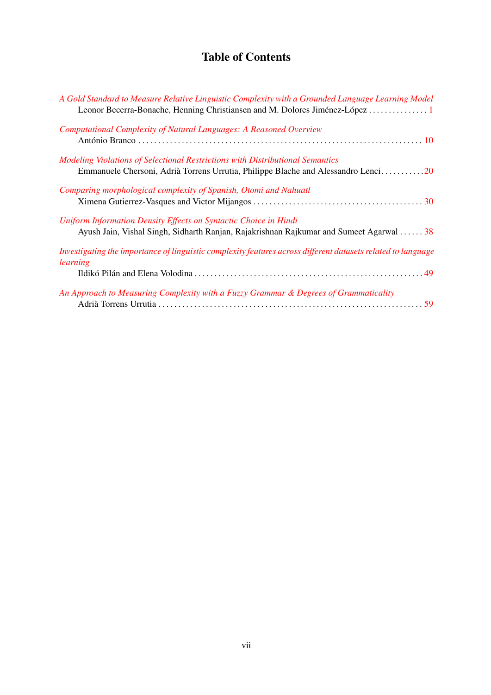# Table of Contents

| A Gold Standard to Measure Relative Linguistic Complexity with a Grounded Language Learning Model<br>Leonor Becerra-Bonache, Henning Christiansen and M. Dolores Jiménez-López 1 |
|----------------------------------------------------------------------------------------------------------------------------------------------------------------------------------|
| Computational Complexity of Natural Languages: A Reasoned Overview                                                                                                               |
| Modeling Violations of Selectional Restrictions with Distributional Semantics<br>Emmanuele Chersoni, Adrià Torrens Urrutia, Philippe Blache and Alessandro Lenci20               |
| Comparing morphological complexity of Spanish, Otomi and Nahuatl                                                                                                                 |
| Uniform Information Density Effects on Syntactic Choice in Hindi<br>Ayush Jain, Vishal Singh, Sidharth Ranjan, Rajakrishnan Rajkumar and Sumeet Agarwal  38                      |
| Investigating the importance of linguistic complexity features across different datasets related to language<br>learning                                                         |
|                                                                                                                                                                                  |
| An Approach to Measuring Complexity with a Fuzzy Grammar & Degrees of Grammaticality                                                                                             |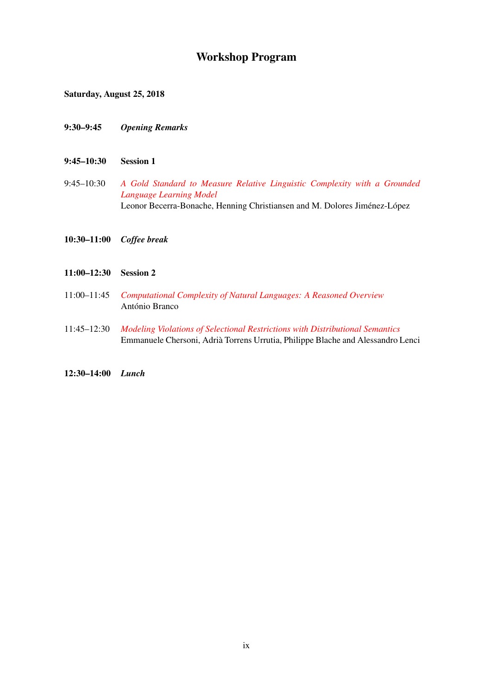# Workshop Program

Saturday, August 25, 2018

- 9:30–9:45 *Opening Remarks*
- 9:45–10:30 Session 1
- 9:45–10:30 *[A Gold Standard to Measure Relative Linguistic Complexity with a Grounded](#page-0-0) [Language Learning Model](#page-0-0)* Leonor Becerra-Bonache, Henning Christiansen and M. Dolores Jiménez-López
- 10:30–11:00 *Coffee break*
- 11:00–12:30 Session 2
- 11:00–11:45 *[Computational Complexity of Natural Languages: A Reasoned Overview](#page-0-0)* António Branco
- 11:45–12:30 *[Modeling Violations of Selectional Restrictions with Distributional Semantics](#page-0-0)* Emmanuele Chersoni, Adrià Torrens Urrutia, Philippe Blache and Alessandro Lenci
- 12:30–14:00 *Lunch*